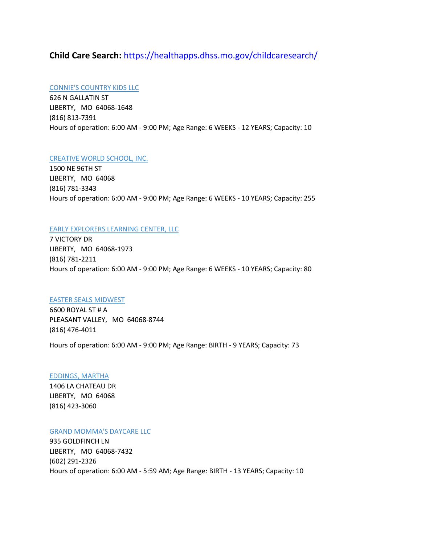# **Child Care Search:** <https://healthapps.dhss.mo.gov/childcaresearch/>

# [CONNIE'S COUNTRY KIDS LLC](javascript:__doPostBack()

626 N GALLATIN ST LIBERTY, MO 64068-1648 (816) 813-7391 Hours of operation: 6:00 AM - 9:00 PM; Age Range: 6 WEEKS - 12 YEARS; Capacity: 10

# [CREATIVE WORLD SCHOOL, INC.](javascript:__doPostBack()

1500 NE 96TH ST LIBERTY, MO 64068 (816) 781-3343 Hours of operation: 6:00 AM - 9:00 PM; Age Range: 6 WEEKS - 10 YEARS; Capacity: 255

# [EARLY EXPLORERS LEARNING CENTER, LLC](javascript:__doPostBack()

7 VICTORY DR LIBERTY, MO 64068-1973 (816) 781-2211 Hours of operation: 6:00 AM - 9:00 PM; Age Range: 6 WEEKS - 10 YEARS; Capacity: 80

# [EASTER SEALS MIDWEST](javascript:__doPostBack()

6600 ROYAL ST # A PLEASANT VALLEY, MO 64068-8744 (816) 476-4011

Hours of operation: 6:00 AM - 9:00 PM; Age Range: BIRTH - 9 YEARS; Capacity: 73

# [EDDINGS, MARTHA](javascript:__doPostBack()

1406 LA CHATEAU DR LIBERTY, MO 64068 (816) 423-3060

# [GRAND MOMMA'S DAYCARE LLC](javascript:__doPostBack()

935 GOLDFINCH LN LIBERTY, MO 64068-7432 (602) 291-2326 Hours of operation: 6:00 AM - 5:59 AM; Age Range: BIRTH - 13 YEARS; Capacity: 10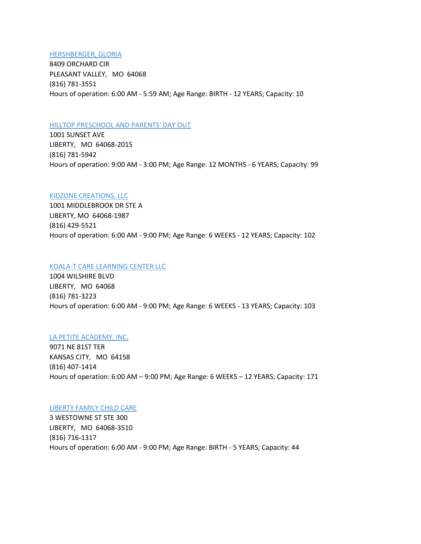#### [HERSHBERGER, GLORIA](javascript:__doPostBack()

8409 ORCHARD CIR PLEASANT VALLEY, MO 64068 (816) 781-3551 Hours of operation: 6:00 AM - 5:59 AM; Age Range: BIRTH - 12 YEARS; Capacity: 10

#### [HILLTOP PRESCHOOL AND PARENTS' DAY OUT](javascript:__doPostBack()

1001 SUNSET AVE LIBERTY, MO 64068-2015 (816) 781-5942 Hours of operation: 9:00 AM - 3:00 PM; Age Range: 12 MONTHS - 6 YEARS; Capacity: 99

# [KIDZONE CREATIONS, LLC](javascript:__doPostBack()

1001 MIDDLEBROOK DR STE A LIBERTY, MO 64068-1987 (816) 429-5521 Hours of operation: 6:00 AM - 9:00 PM; Age Range: 6 WEEKS - 12 YEARS; Capacity: 102

#### [KOALA-T CARE LEARNING CENTER LLC](javascript:__doPostBack()

1004 WILSHIRE BLVD LIBERTY, MO 64068 (816) 781-3223 Hours of operation: 6:00 AM - 9:00 PM; Age Range: 6 WEEKS - 13 YEARS; Capacity: 103

#### [LA PETITE ACADEMY, INC.](javascript:__doPostBack()

9071 NE 81ST TER KANSAS CITY, MO 64158 (816) 407-1414 Hours of operation: 6:00 AM – 9:00 PM; Age Range: 6 WEEKS – 12 YEARS; Capacity: 171

#### [LIBERTY FAMILY CHILD CARE](javascript:__doPostBack()

3 WESTOWNE ST STE 300 LIBERTY, MO 64068-3510 (816) 716-1317 Hours of operation: 6:00 AM - 9:00 PM; Age Range: BIRTH - 5 YEARS; Capacity: 44